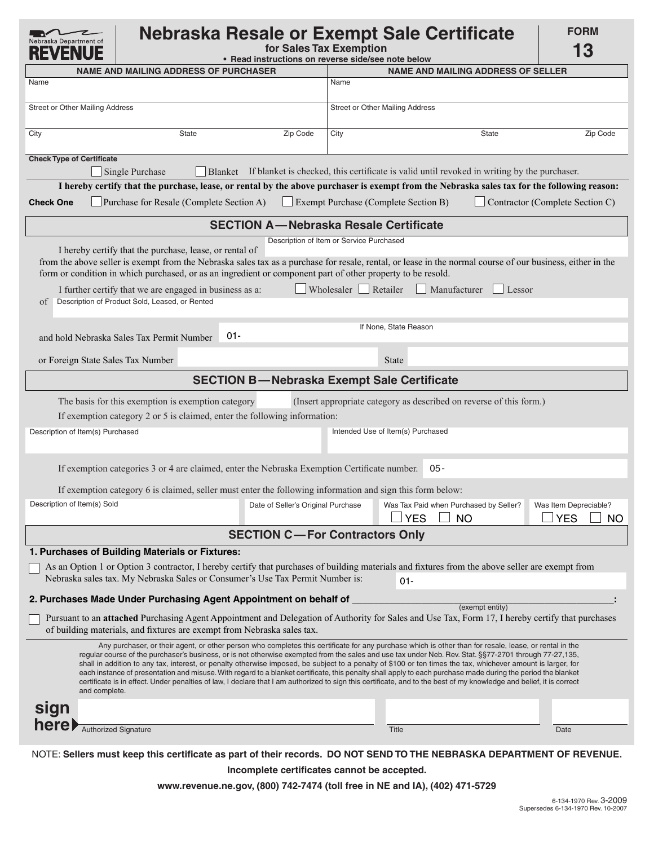| Nebraska Resale or Exempt Sale Certificate<br>aska Department of<br>for Sales Tax Exemption<br>• Read instructions on reverse side/see note below                                                                                                                                                                                                                                                                                                                                                                                                                                                                                                                                                                                                                                                                                         |                       |                                          |                                 |                                                                                                                    |                 | <b>FORM</b><br>13                                |
|-------------------------------------------------------------------------------------------------------------------------------------------------------------------------------------------------------------------------------------------------------------------------------------------------------------------------------------------------------------------------------------------------------------------------------------------------------------------------------------------------------------------------------------------------------------------------------------------------------------------------------------------------------------------------------------------------------------------------------------------------------------------------------------------------------------------------------------------|-----------------------|------------------------------------------|---------------------------------|--------------------------------------------------------------------------------------------------------------------|-----------------|--------------------------------------------------|
| <b>NAME AND MAILING ADDRESS OF PURCHASER</b>                                                                                                                                                                                                                                                                                                                                                                                                                                                                                                                                                                                                                                                                                                                                                                                              |                       |                                          |                                 | <b>NAME AND MAILING ADDRESS OF SELLER</b>                                                                          |                 |                                                  |
| Name                                                                                                                                                                                                                                                                                                                                                                                                                                                                                                                                                                                                                                                                                                                                                                                                                                      |                       |                                          | Name                            |                                                                                                                    |                 |                                                  |
| Street or Other Mailing Address                                                                                                                                                                                                                                                                                                                                                                                                                                                                                                                                                                                                                                                                                                                                                                                                           |                       |                                          | Street or Other Mailing Address |                                                                                                                    |                 |                                                  |
| City                                                                                                                                                                                                                                                                                                                                                                                                                                                                                                                                                                                                                                                                                                                                                                                                                                      | <b>State</b>          | Zip Code                                 | City                            |                                                                                                                    | <b>State</b>    | Zip Code                                         |
| <b>Check Type of Certificate</b><br>Single Purchase                                                                                                                                                                                                                                                                                                                                                                                                                                                                                                                                                                                                                                                                                                                                                                                       | <b>Blanket</b>        |                                          |                                 | If blanket is checked, this certificate is valid until revoked in writing by the purchaser.                        |                 |                                                  |
| I hereby certify that the purchase, lease, or rental by the above purchaser is exempt from the Nebraska sales tax for the following reason:                                                                                                                                                                                                                                                                                                                                                                                                                                                                                                                                                                                                                                                                                               |                       |                                          |                                 |                                                                                                                    |                 |                                                  |
| <b>Check One</b><br>Purchase for Resale (Complete Section A)                                                                                                                                                                                                                                                                                                                                                                                                                                                                                                                                                                                                                                                                                                                                                                              |                       |                                          |                                 | Exempt Purchase (Complete Section B)                                                                               |                 | Contractor (Complete Section C)                  |
|                                                                                                                                                                                                                                                                                                                                                                                                                                                                                                                                                                                                                                                                                                                                                                                                                                           |                       |                                          |                                 | <b>SECTION A-Nebraska Resale Certificate</b>                                                                       |                 |                                                  |
| I hereby certify that the purchase, lease, or rental of<br>from the above seller is exempt from the Nebraska sales tax as a purchase for resale, rental, or lease in the normal course of our business, either in the<br>form or condition in which purchased, or as an ingredient or component part of other property to be resold.<br>I further certify that we are engaged in business as a:<br>Description of Product Sold, Leased, or Rented<br><sub>of</sub>                                                                                                                                                                                                                                                                                                                                                                        |                       | Description of Item or Service Purchased | Wholesaler                      | Retailer<br>Manufacturer                                                                                           | Lessor          |                                                  |
|                                                                                                                                                                                                                                                                                                                                                                                                                                                                                                                                                                                                                                                                                                                                                                                                                                           | If None, State Reason |                                          |                                 |                                                                                                                    |                 |                                                  |
| and hold Nebraska Sales Tax Permit Number                                                                                                                                                                                                                                                                                                                                                                                                                                                                                                                                                                                                                                                                                                                                                                                                 |                       |                                          |                                 |                                                                                                                    |                 |                                                  |
| or Foreign State Sales Tax Number                                                                                                                                                                                                                                                                                                                                                                                                                                                                                                                                                                                                                                                                                                                                                                                                         |                       |                                          |                                 | <b>State</b>                                                                                                       |                 |                                                  |
|                                                                                                                                                                                                                                                                                                                                                                                                                                                                                                                                                                                                                                                                                                                                                                                                                                           |                       |                                          |                                 | <b>SECTION B-Nebraska Exempt Sale Certificate</b>                                                                  |                 |                                                  |
| The basis for this exemption is exemption category<br>If exemption category 2 or 5 is claimed, enter the following information:<br>Description of Item(s) Purchased<br>If exemption categories 3 or 4 are claimed, enter the Nebraska Exemption Certificate number.                                                                                                                                                                                                                                                                                                                                                                                                                                                                                                                                                                       |                       |                                          |                                 | (Insert appropriate category as described on reverse of this form.)<br>Intended Use of Item(s) Purchased<br>$05 -$ |                 |                                                  |
|                                                                                                                                                                                                                                                                                                                                                                                                                                                                                                                                                                                                                                                                                                                                                                                                                                           |                       |                                          |                                 |                                                                                                                    |                 |                                                  |
| If exemption category 6 is claimed, seller must enter the following information and sign this form below:<br>Description of Item(s) Sold                                                                                                                                                                                                                                                                                                                                                                                                                                                                                                                                                                                                                                                                                                  |                       | Date of Seller's Original Purchase       |                                 | Was Tax Paid when Purchased by Seller?<br><b>YES</b>                                                               | <b>NO</b>       | Was Item Depreciable?<br><b>YES</b><br><b>NO</b> |
|                                                                                                                                                                                                                                                                                                                                                                                                                                                                                                                                                                                                                                                                                                                                                                                                                                           |                       | <b>SECTION C-For Contractors Only</b>    |                                 |                                                                                                                    |                 |                                                  |
| 1. Purchases of Building Materials or Fixtures:                                                                                                                                                                                                                                                                                                                                                                                                                                                                                                                                                                                                                                                                                                                                                                                           |                       |                                          |                                 |                                                                                                                    |                 |                                                  |
| As an Option 1 or Option 3 contractor, I hereby certify that purchases of building materials and fixtures from the above seller are exempt from<br>Nebraska sales tax. My Nebraska Sales or Consumer's Use Tax Permit Number is:                                                                                                                                                                                                                                                                                                                                                                                                                                                                                                                                                                                                          |                       |                                          |                                 | $01 -$                                                                                                             |                 |                                                  |
| 2. Purchases Made Under Purchasing Agent Appointment on behalf of                                                                                                                                                                                                                                                                                                                                                                                                                                                                                                                                                                                                                                                                                                                                                                         |                       |                                          |                                 |                                                                                                                    | (exempt entity) |                                                  |
| Pursuant to an attached Purchasing Agent Appointment and Delegation of Authority for Sales and Use Tax, Form 17, I hereby certify that purchases<br>of building materials, and fixtures are exempt from Nebraska sales tax.                                                                                                                                                                                                                                                                                                                                                                                                                                                                                                                                                                                                               |                       |                                          |                                 |                                                                                                                    |                 |                                                  |
| Any purchaser, or their agent, or other person who completes this certificate for any purchase which is other than for resale, lease, or rental in the<br>regular course of the purchaser's business, or is not otherwise exempted from the sales and use tax under Neb. Rev. Stat. §§77-2701 through 77-27,135,<br>shall in addition to any tax, interest, or penalty otherwise imposed, be subject to a penalty of \$100 or ten times the tax, whichever amount is larger, for<br>each instance of presentation and misuse. With regard to a blanket certificate, this penalty shall apply to each purchase made during the period the blanket<br>certificate is in effect. Under penalties of law, I declare that I am authorized to sign this certificate, and to the best of my knowledge and belief, it is correct<br>and complete. |                       |                                          |                                 |                                                                                                                    |                 |                                                  |
| sign                                                                                                                                                                                                                                                                                                                                                                                                                                                                                                                                                                                                                                                                                                                                                                                                                                      |                       |                                          |                                 |                                                                                                                    |                 |                                                  |
| here)<br>Authorized Signature                                                                                                                                                                                                                                                                                                                                                                                                                                                                                                                                                                                                                                                                                                                                                                                                             |                       |                                          |                                 | <b>Title</b>                                                                                                       |                 | Date                                             |
| NOTE: Sellers must keep this certificate as part of their records. DO NOT SEND TO THE NEBRASKA DEPARTMENT OF REVENUE.                                                                                                                                                                                                                                                                                                                                                                                                                                                                                                                                                                                                                                                                                                                     |                       |                                          |                                 |                                                                                                                    |                 |                                                  |

**Incomplete certificates cannot be accepted.**

**www.revenue.ne.gov, (800) 742-7474 (toll free in NE and IA), (402) 471-5729**